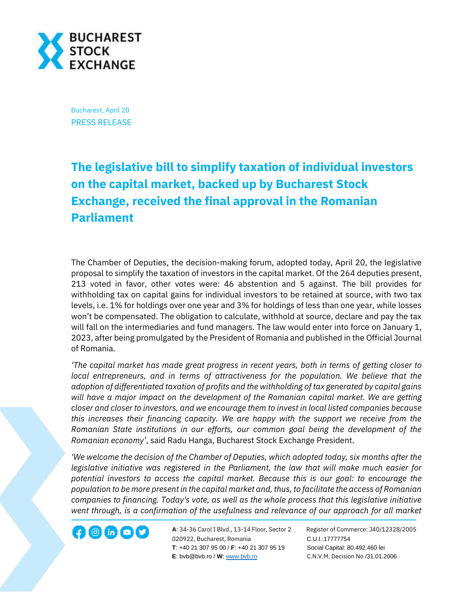

Bucharest, April 20 PRESS RELEASE

## **The legislative bill to simplify taxation of individual investors on the capital market, backed up by Bucharest Stock Exchange, received the final approval in the Romanian Parliament**

The Chamber of Deputies, the decision-making forum, adopted today, April 20, the legislative proposal to simplify the taxation of investors in the capital market. Of the 264 deputies present, 213 voted in favor, other votes were: 46 abstention and 5 against. The bill provides for withholding tax on capital gains for individual investors to be retained at source, with two tax levels, i.e. 1% for holdings over one year and 3% for holdings of less than one year, while losses won't be compensated. The obligation to calculate, withhold at source, declare and pay the tax will fall on the intermediaries and fund managers. The law would enter into force on January 1, 2023, after being promulgated by the President of Romania and published in the Official Journal of Romania.

*'The capital market has made great progress in recent years, both in terms of getting closer to local entrepreneurs, and in terms of attractiveness for the population. We believe that the adoption of differentiated taxation of profits and the withholding of tax generated by capital gains will have a major impact on the development of the Romanian capital market. We are getting closer and closer to investors, and we encourage them to invest in local listed companies because this increases their financing capacity. We are happy with the support we receive from the Romanian State institutions in our efforts, our common goal being the development of the Romanian economy'*, said Radu Hanga, Bucharest Stock Exchange President.

*'We welcome the decision of the Chamber of Deputies, which adopted today, six months after the legislative initiative was registered in the Parliament, the law that will make much easier for potential investors to access the capital market. Because this is our goal: to encourage the population to be more present in the capital market and, thus, to facilitate the access of Romanian companies to financing. Today's vote, as well as the whole process that this legislative initiative went through, is a confirmation of the usefulness and relevance of our approach for all market* 

**A**: 34-36 Carol I Blvd., 13-14 Floor, Sector 2 Register of Commerce: J40/12328/2005 **1200 CD CD CONF** A: 34-36 Carol I Blvd., 13-14 Floor, Sector 2 Register of Comm<br>020922, Bucharest, Romania C.U.I.:17777754  **T**: +40 21 307 95 00 / **F**: +40 21 307 95 19 Social Capital: 80.492.460 lei **E**: bvb@bvb.ro / **W**[: www.bvb.ro](http://www.bvb.ro/) C.N.V.M. Decision No /31.01.2006